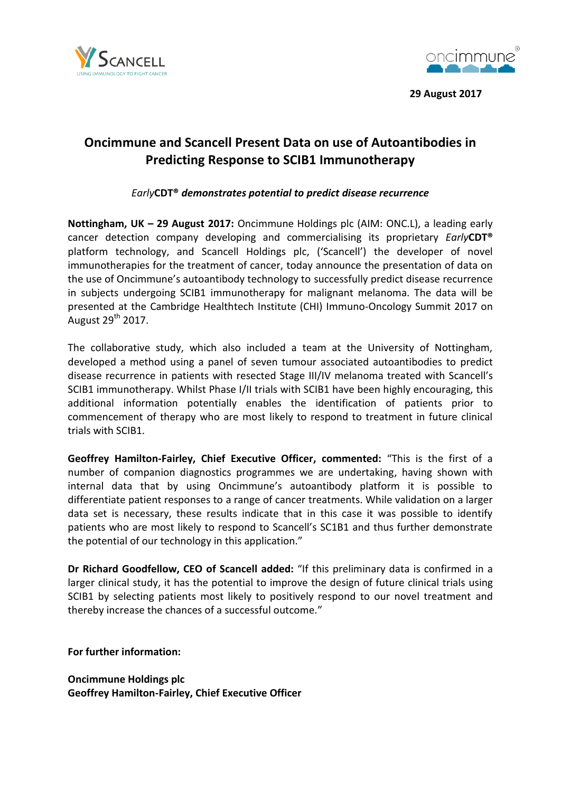



 **29 August 2017**

# **Oncimmune and Scancell Present Data on use of Autoantibodies in Predicting Response to SCIB1 Immunotherapy**

*Early***CDT®** *demonstrates potential to predict disease recurrence*

**Nottingham, UK – 29 August 2017:** Oncimmune Holdings plc (AIM: ONC.L), a leading early cancer detection company developing and commercialising its proprietary *Early***CDT®** platform technology, and Scancell Holdings plc, ('Scancell') the developer of novel immunotherapies for the treatment of cancer, today announce the presentation of data on the use of Oncimmune's autoantibody technology to successfully predict disease recurrence in subjects undergoing SCIB1 immunotherapy for malignant melanoma. The data will be presented at the Cambridge Healthtech Institute (CHI) Immuno-Oncology Summit 2017 on August 29<sup>th</sup> 2017.

The collaborative study, which also included a team at the University of Nottingham, developed a method using a panel of seven tumour associated autoantibodies to predict disease recurrence in patients with resected Stage III/IV melanoma treated with Scancell's SCIB1 immunotherapy. Whilst Phase I/II trials with SCIB1 have been highly encouraging, this additional information potentially enables the identification of patients prior to commencement of therapy who are most likely to respond to treatment in future clinical trials with SCIB1.

**Geoffrey Hamilton-Fairley, Chief Executive Officer, commented:** "This is the first of a number of companion diagnostics programmes we are undertaking, having shown with internal data that by using Oncimmune's autoantibody platform it is possible to differentiate patient responses to a range of cancer treatments. While validation on a larger data set is necessary, these results indicate that in this case it was possible to identify patients who are most likely to respond to Scancell's SC1B1 and thus further demonstrate the potential of our technology in this application."

**Dr Richard Goodfellow, CEO of Scancell added:** "If this preliminary data is confirmed in a larger clinical study, it has the potential to improve the design of future clinical trials using SCIB1 by selecting patients most likely to positively respond to our novel treatment and thereby increase the chances of a successful outcome."

**For further information:**

**Oncimmune Holdings plc Geoffrey Hamilton-Fairley, Chief Executive Officer**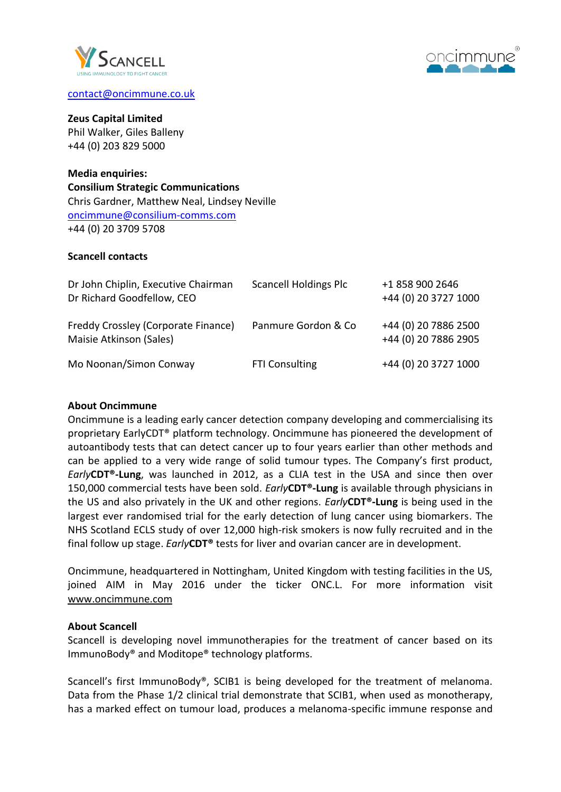



### [contact@oncimmune.co.uk](mailto:contact@oncimmune.co.uk)

#### **Zeus Capital Limited**

Phil Walker, Giles Balleny +44 (0) 203 829 5000

**Media enquiries: Consilium Strategic Communications** Chris Gardner, Matthew Neal, Lindsey Neville [oncimmune@consilium-comms.com](mailto:oncimmune@consilium-comms.com) +44 (0) 20 3709 5708

### **Scancell contacts**

| Dr John Chiplin, Executive Chairman<br>Dr Richard Goodfellow, CEO | <b>Scancell Holdings Plc</b> | +1 858 900 2646<br>+44 (0) 20 3727 1000      |
|-------------------------------------------------------------------|------------------------------|----------------------------------------------|
| Freddy Crossley (Corporate Finance)<br>Maisie Atkinson (Sales)    | Panmure Gordon & Co          | +44 (0) 20 7886 2500<br>+44 (0) 20 7886 2905 |
| Mo Noonan/Simon Conway                                            | <b>FTI Consulting</b>        | +44 (0) 20 3727 1000                         |

## **About Oncimmune**

Oncimmune is a leading early cancer detection company developing and commercialising its proprietary EarlyCDT® platform technology. Oncimmune has pioneered the development of autoantibody tests that can detect cancer up to four years earlier than other methods and can be applied to a very wide range of solid tumour types. The Company's first product, *Early***CDT®-Lung**, was launched in 2012, as a CLIA test in the USA and since then over 150,000 commercial tests have been sold. *Early***CDT®-Lung** is available through physicians in the US and also privately in the UK and other regions. *Early***CDT®-Lung** is being used in the largest ever randomised trial for the early detection of lung cancer using biomarkers. The NHS Scotland ECLS study of over 12,000 high-risk smokers is now fully recruited and in the final follow up stage. *Early***CDT®** tests for liver and ovarian cancer are in development.

Oncimmune, headquartered in Nottingham, United Kingdom with testing facilities in the US, joined AIM in May 2016 under the ticker ONC.L. For more information visit [www.oncimmune.com](http://www.oncimmune.com/)

## **About Scancell**

Scancell is developing novel immunotherapies for the treatment of cancer based on its ImmunoBody® and Moditope® technology platforms.

Scancell's first ImmunoBody®, SCIB1 is being developed for the treatment of melanoma. Data from the Phase 1/2 clinical trial demonstrate that SCIB1, when used as monotherapy, has a marked effect on tumour load, produces a melanoma-specific immune response and